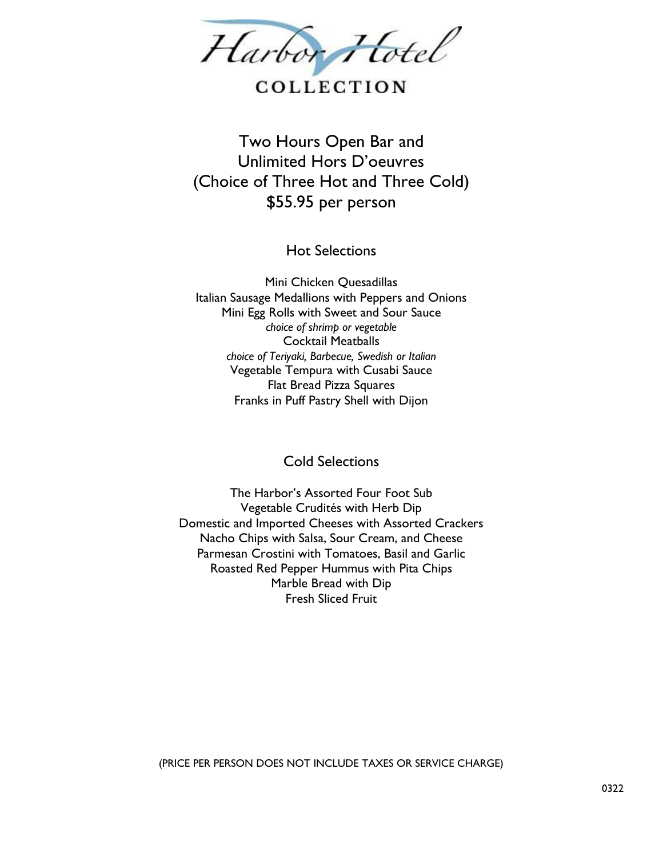

# COLLECTION

Two Hours Open Bar and Unlimited Hors D'oeuvres (Choice of Three Hot and Three Cold) \$55.95 per person

Hot Selections

Mini Chicken Quesadillas Italian Sausage Medallions with Peppers and Onions Mini Egg Rolls with Sweet and Sour Sauce *choice of shrimp or vegetable* Cocktail Meatballs *choice of Teriyaki, Barbecue, Swedish or Italian* Vegetable Tempura with Cusabi Sauce Flat Bread Pizza Squares Franks in Puff Pastry Shell with Dijon

Cold Selections

The Harbor's Assorted Four Foot Sub Vegetable Crudités with Herb Dip Domestic and Imported Cheeses with Assorted Crackers Nacho Chips with Salsa, Sour Cream, and Cheese Parmesan Crostini with Tomatoes, Basil and Garlic Roasted Red Pepper Hummus with Pita Chips Marble Bread with Dip Fresh Sliced Fruit

(PRICE PER PERSON DOES NOT INCLUDE TAXES OR SERVICE CHARGE)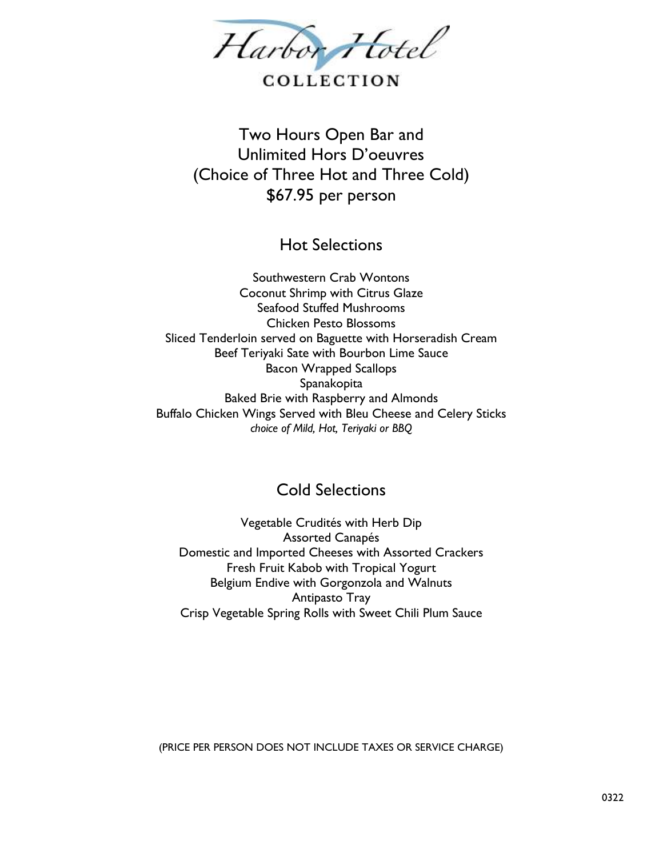

### COLLECTION

Two Hours Open Bar and Unlimited Hors D'oeuvres (Choice of Three Hot and Three Cold) \$67.95 per person

Hot Selections

Southwestern Crab Wontons Coconut Shrimp with Citrus Glaze Seafood Stuffed Mushrooms Chicken Pesto Blossoms Sliced Tenderloin served on Baguette with Horseradish Cream Beef Teriyaki Sate with Bourbon Lime Sauce Bacon Wrapped Scallops Spanakopita Baked Brie with Raspberry and Almonds Buffalo Chicken Wings Served with Bleu Cheese and Celery Sticks *choice of Mild, Hot, Teriyaki or BBQ*

### Cold Selections

Vegetable Crudités with Herb Dip Assorted Canapés Domestic and Imported Cheeses with Assorted Crackers Fresh Fruit Kabob with Tropical Yogurt Belgium Endive with Gorgonzola and Walnuts Antipasto Tray Crisp Vegetable Spring Rolls with Sweet Chili Plum Sauce

(PRICE PER PERSON DOES NOT INCLUDE TAXES OR SERVICE CHARGE)